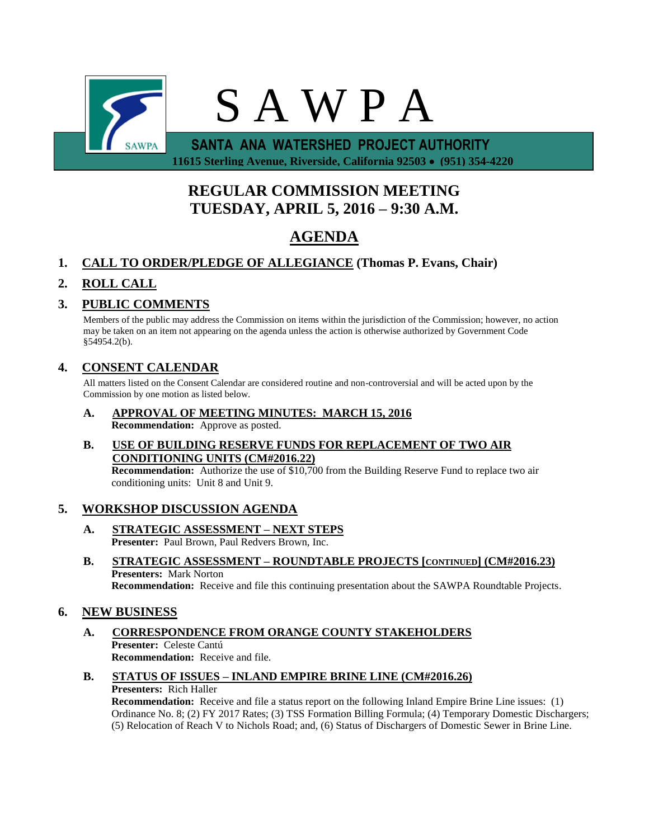

 **11615 Sterling Avenue, Riverside, California 92503 (951) 354-4220**

# **REGULAR COMMISSION MEETING TUESDAY, APRIL 5, 2016 – 9:30 A.M.**

# **AGENDA**

## **1. CALL TO ORDER/PLEDGE OF ALLEGIANCE (Thomas P. Evans, Chair)**

## **2. ROLL CALL**

## **3. PUBLIC COMMENTS**

Members of the public may address the Commission on items within the jurisdiction of the Commission; however, no action may be taken on an item not appearing on the agenda unless the action is otherwise authorized by Government Code §54954.2(b).

## **4. CONSENT CALENDAR**

All matters listed on the Consent Calendar are considered routine and non-controversial and will be acted upon by the Commission by one motion as listed below.

**A. APPROVAL OF MEETING MINUTES: MARCH 15, 2016 Recommendation:** Approve as posted.

### **B. USE OF BUILDING RESERVE FUNDS FOR REPLACEMENT OF TWO AIR CONDITIONING UNITS (CM#2016.22)**

**Recommendation:** Authorize the use of \$10,700 from the Building Reserve Fund to replace two air conditioning units: Unit 8 and Unit 9.

## **5. WORKSHOP DISCUSSION AGENDA**

- **A. STRATEGIC ASSESSMENT – NEXT STEPS** Presenter: Paul Brown, Paul Redvers Brown, Inc.
- **B. STRATEGIC ASSESSMENT – ROUNDTABLE PROJECTS [CONTINUED] (CM#2016.23) Presenters:** Mark Norton **Recommendation:** Receive and file this continuing presentation about the SAWPA Roundtable Projects.

### **6. NEW BUSINESS**

- **A. CORRESPONDENCE FROM ORANGE COUNTY STAKEHOLDERS Presenter:** Celeste Cantú **Recommendation:** Receive and file.
- **B. STATUS OF ISSUES – INLAND EMPIRE BRINE LINE (CM#2016.26) Presenters:** Rich Haller

**Recommendation:** Receive and file a status report on the following Inland Empire Brine Line issues: (1) Ordinance No. 8; (2) FY 2017 Rates; (3) TSS Formation Billing Formula; (4) Temporary Domestic Dischargers; (5) Relocation of Reach V to Nichols Road; and, (6) Status of Dischargers of Domestic Sewer in Brine Line.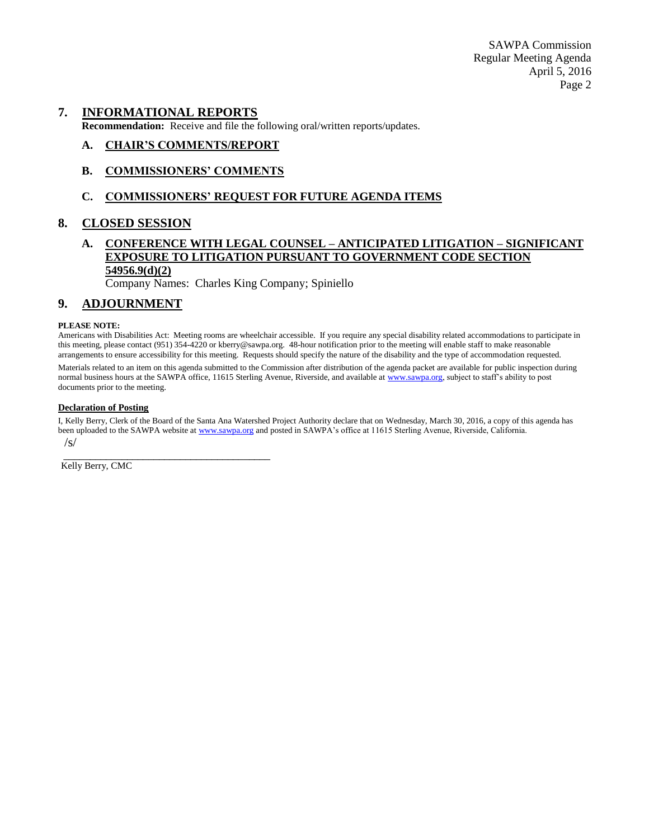#### **7. INFORMATIONAL REPORTS**

**Recommendation:** Receive and file the following oral/written reports/updates.

#### **A. CHAIR'S COMMENTS/REPORT**

#### **B. COMMISSIONERS' COMMENTS**

#### **C. COMMISSIONERS' REQUEST FOR FUTURE AGENDA ITEMS**

#### **8. CLOSED SESSION**

#### **A. CONFERENCE WITH LEGAL COUNSEL – ANTICIPATED LITIGATION – SIGNIFICANT EXPOSURE TO LITIGATION PURSUANT TO GOVERNMENT CODE SECTION 54956.9(d)(2)**

Company Names: Charles King Company; Spiniello

#### **9. ADJOURNMENT**

#### **PLEASE NOTE:**

Americans with Disabilities Act: Meeting rooms are wheelchair accessible. If you require any special disability related accommodations to participate in this meeting, please contact (951) 354-4220 or kberry@sawpa.org. 48-hour notification prior to the meeting will enable staff to make reasonable arrangements to ensure accessibility for this meeting. Requests should specify the nature of the disability and the type of accommodation requested.

Materials related to an item on this agenda submitted to the Commission after distribution of the agenda packet are available for public inspection during normal business hours at the SAWPA office, 11615 Sterling Avenue, Riverside, and available a[t www.sawpa.org,](http://www.sawpa.org/) subject to staff's ability to post documents prior to the meeting.

#### **Declaration of Posting**

I, Kelly Berry, Clerk of the Board of the Santa Ana Watershed Project Authority declare that on Wednesday, March 30, 2016, a copy of this agenda has been uploaded to the SAWPA website a[t www.sawpa.org](http://www.sawpa.org/) and posted in SAWPA's office at 11615 Sterling Avenue, Riverside, California. /s/

\_\_\_\_\_\_\_\_\_\_\_\_\_\_\_\_\_\_\_\_\_\_\_\_\_\_\_\_\_\_\_\_\_\_\_\_\_\_\_ Kelly Berry, CMC